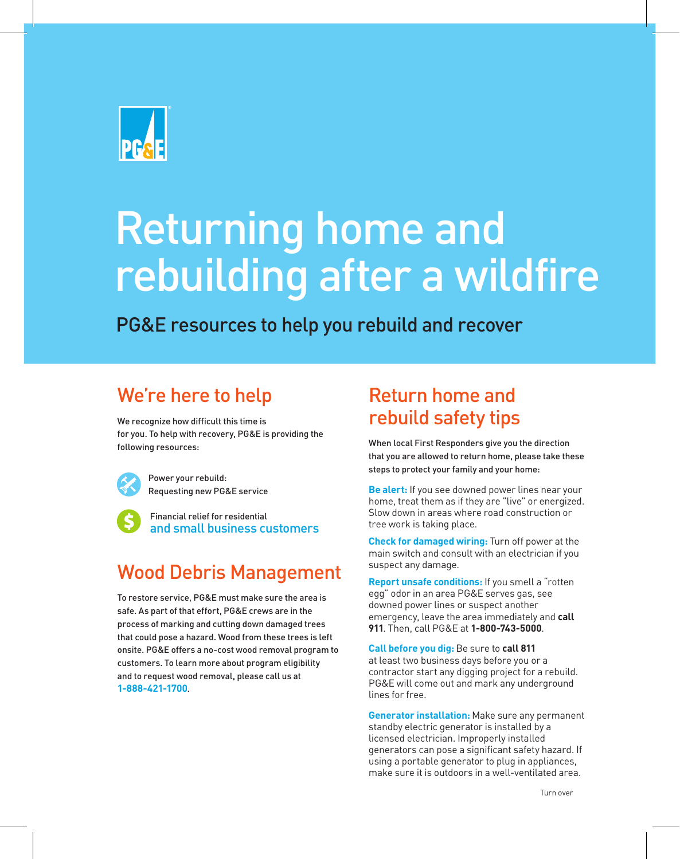

# Returning home and rebuilding after a wildfire

PG&E resources to help you rebuild and recover

## We're here to help

We recognize how difficult this time is for you. To help with recovery, PG&E is providing the following resources:

Power your rebuild: Requesting new PG&E service

Financial relief for residential and small business customers

## Wood Debris Management

To restore service, PG&E must make sure the area is safe. As part of that effort, PG&E crews are in the process of marking and cutting down damaged trees that could pose a hazard. Wood from these trees is left onsite. PG&E offers a no-cost wood removal program to customers. To learn more about program eligibility and to request wood removal, please call us at **1-888-421-1700**.

## Return home and rebuild safety tips

When local First Responders give you the direction that you are allowed to return home, please take these steps to protect your family and your home:

**Be alert:** If you see downed power lines near your home, treat them as if they are "live" or energized. Slow down in areas where road construction or tree work is taking place.

**Check for damaged wiring:** Turn off power at the main switch and consult with an electrician if you suspect any damage.

**Report unsafe conditions:** If you smell a "rotten egg" odor in an area PG&E serves gas, see downed power lines or suspect another emergency, leave the area immediately and **call 911**. Then, call PG&E at **1-800-743-5000**.

**Call before you dig:** Be sure to **call 811** at least two business days before you or a contractor start any digging project for a rebuild. PG&E will come out and mark any underground lines for free.

**Generator installation:** Make sure any permanent standby electric generator is installed by a licensed electrician. Improperly installed generators can pose a significant safety hazard. If using a portable generator to plug in appliances, make sure it is outdoors in a well-ventilated area.

Turn over